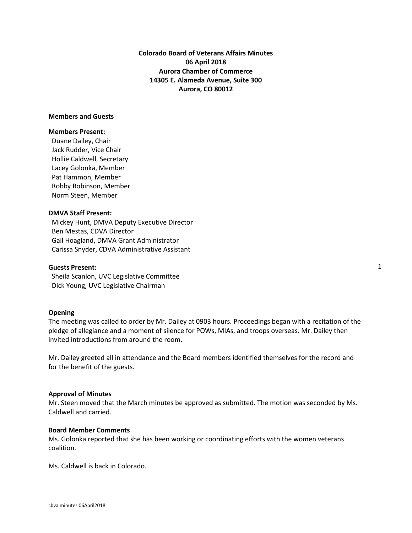**Colorado Board of Veterans Affairs Minutes 06 April 2018 Aurora Chamber of Commerce 14305 E. Alameda Avenue, Suite 300 Aurora, CO 80012**

#### **Members and Guests**

#### **Members Present:**

Duane Dailey, Chair Jack Rudder, Vice Chair Hollie Caldwell, Secretary Lacey Golonka, Member Pat Hammon, Member Robby Robinson, Member Norm Steen, Member

#### **DMVA Staff Present:**

 Mickey Hunt, DMVA Deputy Executive Director Ben Mestas, CDVA Director Gail Hoagland, DMVA Grant Administrator Carissa Snyder, CDVA Administrative Assistant

#### **Guests Present:**

 Sheila Scanlon, UVC Legislative Committee Dick Young, UVC Legislative Chairman

#### **Opening**

The meeting was called to order by Mr. Dailey at 0903 hours. Proceedings began with a recitation of the pledge of allegiance and a moment of silence for POWs, MIAs, and troops overseas. Mr. Dailey then invited introductions from around the room.

Mr. Dailey greeted all in attendance and the Board members identified themselves for the record and for the benefit of the guests.

#### **Approval of Minutes**

Mr. Steen moved that the March minutes be approved as submitted. The motion was seconded by Ms. Caldwell and carried.

#### **Board Member Comments**

Ms. Golonka reported that she has been working or coordinating efforts with the women veterans coalition.

Ms. Caldwell is back in Colorado.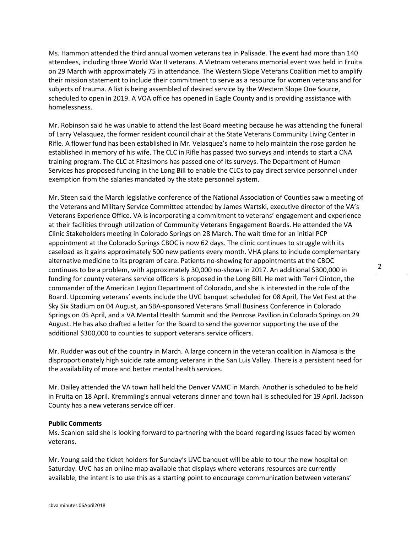Ms. Hammon attended the third annual women veterans tea in Palisade. The event had more than 140 attendees, including three World War II veterans. A Vietnam veterans memorial event was held in Fruita on 29 March with approximately 75 in attendance. The Western Slope Veterans Coalition met to amplify their mission statement to include their commitment to serve as a resource for women veterans and for subjects of trauma. A list is being assembled of desired service by the Western Slope One Source, scheduled to open in 2019. A VOA office has opened in Eagle County and is providing assistance with homelessness.

Mr. Robinson said he was unable to attend the last Board meeting because he was attending the funeral of Larry Velasquez, the former resident council chair at the State Veterans Community Living Center in Rifle. A flower fund has been established in Mr. Velasquez's name to help maintain the rose garden he established in memory of his wife. The CLC in Rifle has passed two surveys and intends to start a CNA training program. The CLC at Fitzsimons has passed one of its surveys. The Department of Human Services has proposed funding in the Long Bill to enable the CLCs to pay direct service personnel under exemption from the salaries mandated by the state personnel system.

Mr. Steen said the March legislative conference of the National Association of Counties saw a meeting of the Veterans and Military Service Committee attended by James Wartski, executive director of the VA's Veterans Experience Office. VA is incorporating a commitment to veterans' engagement and experience at their facilities through utilization of Community Veterans Engagement Boards. He attended the VA Clinic Stakeholders meeting in Colorado Springs on 28 March. The wait time for an initial PCP appointment at the Colorado Springs CBOC is now 62 days. The clinic continues to struggle with its caseload as it gains approximately 500 new patients every month. VHA plans to include complementary alternative medicine to its program of care. Patients no-showing for appointments at the CBOC continues to be a problem, with approximately 30,000 no-shows in 2017. An additional \$300,000 in funding for county veterans service officers is proposed in the Long Bill. He met with Terri Clinton, the commander of the American Legion Department of Colorado, and she is interested in the role of the Board. Upcoming veterans' events include the UVC banquet scheduled for 08 April, The Vet Fest at the Sky Six Stadium on 04 August, an SBA-sponsored Veterans Small Business Conference in Colorado Springs on 05 April, and a VA Mental Health Summit and the Penrose Pavilion in Colorado Springs on 29 August. He has also drafted a letter for the Board to send the governor supporting the use of the additional \$300,000 to counties to support veterans service officers.

Mr. Rudder was out of the country in March. A large concern in the veteran coalition in Alamosa is the disproportionately high suicide rate among veterans in the San Luis Valley. There is a persistent need for the availability of more and better mental health services.

Mr. Dailey attended the VA town hall held the Denver VAMC in March. Another is scheduled to be held in Fruita on 18 April. Kremmling's annual veterans dinner and town hall is scheduled for 19 April. Jackson County has a new veterans service officer.

#### **Public Comments**

Ms. Scanlon said she is looking forward to partnering with the board regarding issues faced by women veterans.

Mr. Young said the ticket holders for Sunday's UVC banquet will be able to tour the new hospital on Saturday. UVC has an online map available that displays where veterans resources are currently available, the intent is to use this as a starting point to encourage communication between veterans'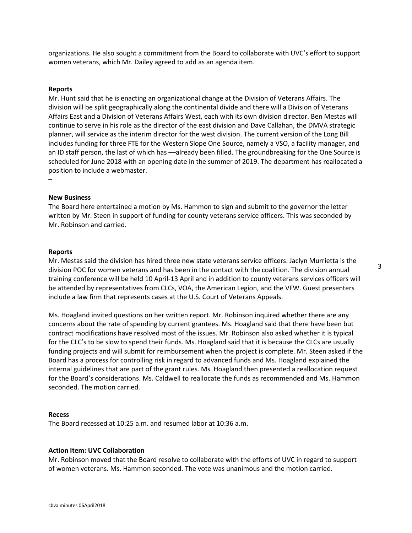organizations. He also sought a commitment from the Board to collaborate with UVC's effort to support women veterans, which Mr. Dailey agreed to add as an agenda item.

#### **Reports**

Mr. Hunt said that he is enacting an organizational change at the Division of Veterans Affairs. The division will be split geographically along the continental divide and there will a Division of Veterans Affairs East and a Division of Veterans Affairs West, each with its own division director. Ben Mestas will continue to serve in his role as the director of the east division and Dave Callahan, the DMVA strategic planner, will service as the interim director for the west division. The current version of the Long Bill includes funding for three FTE for the Western Slope One Source, namely a VSO, a facility manager, and an ID staff person, the last of which has —already been filled. The groundbreaking for the One Source is scheduled for June 2018 with an opening date in the summer of 2019. The department has reallocated a position to include a webmaster.

#### **New Business**

–

The Board here entertained a motion by Ms. Hammon to sign and submit to the governor the letter written by Mr. Steen in support of funding for county veterans service officers. This was seconded by Mr. Robinson and carried.

#### **Reports**

Mr. Mestas said the division has hired three new state veterans service officers. Jaclyn Murrietta is the division POC for women veterans and has been in the contact with the coalition. The division annual training conference will be held 10 April-13 April and in addition to county veterans services officers will be attended by representatives from CLCs, VOA, the American Legion, and the VFW. Guest presenters include a law firm that represents cases at the U.S. Court of Veterans Appeals.

Ms. Hoagland invited questions on her written report. Mr. Robinson inquired whether there are any concerns about the rate of spending by current grantees. Ms. Hoagland said that there have been but contract modifications have resolved most of the issues. Mr. Robinson also asked whether it is typical for the CLC's to be slow to spend their funds. Ms. Hoagland said that it is because the CLCs are usually funding projects and will submit for reimbursement when the project is complete. Mr. Steen asked if the Board has a process for controlling risk in regard to advanced funds and Ms. Hoagland explained the internal guidelines that are part of the grant rules. Ms. Hoagland then presented a reallocation request for the Board's considerations. Ms. Caldwell to reallocate the funds as recommended and Ms. Hammon seconded. The motion carried.

#### **Recess**

The Board recessed at 10:25 a.m. and resumed labor at 10:36 a.m.

#### **Action Item: UVC Collaboration**

Mr. Robinson moved that the Board resolve to collaborate with the efforts of UVC in regard to support of women veterans. Ms. Hammon seconded. The vote was unanimous and the motion carried.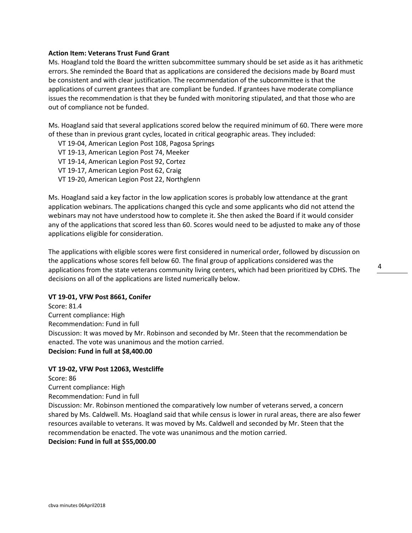#### **Action Item: Veterans Trust Fund Grant**

Ms. Hoagland told the Board the written subcommittee summary should be set aside as it has arithmetic errors. She reminded the Board that as applications are considered the decisions made by Board must be consistent and with clear justification. The recommendation of the subcommittee is that the applications of current grantees that are compliant be funded. If grantees have moderate compliance issues the recommendation is that they be funded with monitoring stipulated, and that those who are out of compliance not be funded.

Ms. Hoagland said that several applications scored below the required minimum of 60. There were more of these than in previous grant cycles, located in critical geographic areas. They included:

- VT 19-04, American Legion Post 108, Pagosa Springs
- VT 19-13, American Legion Post 74, Meeker
- VT 19-14, American Legion Post 92, Cortez
- VT 19-17, American Legion Post 62, Craig
- VT 19-20, American Legion Post 22, Northglenn

Ms. Hoagland said a key factor in the low application scores is probably low attendance at the grant application webinars. The applications changed this cycle and some applicants who did not attend the webinars may not have understood how to complete it. She then asked the Board if it would consider any of the applications that scored less than 60. Scores would need to be adjusted to make any of those applications eligible for consideration.

The applications with eligible scores were first considered in numerical order, followed by discussion on the applications whose scores fell below 60. The final group of applications considered was the applications from the state veterans community living centers, which had been prioritized by CDHS. The decisions on all of the applications are listed numerically below.

#### **VT 19-01, VFW Post 8661, Conifer**

Score: 81.4 Current compliance: High Recommendation: Fund in full Discussion: It was moved by Mr. Robinson and seconded by Mr. Steen that the recommendation be enacted. The vote was unanimous and the motion carried. **Decision: Fund in full at \$8,400.00**

#### **VT 19-02, VFW Post 12063, Westcliffe**

Score: 86 Current compliance: High Recommendation: Fund in full Discussion: Mr. Robinson mentioned the comparatively low number of veterans served, a concern shared by Ms. Caldwell. Ms. Hoagland said that while census is lower in rural areas, there are also fewer resources available to veterans. It was moved by Ms. Caldwell and seconded by Mr. Steen that the recommendation be enacted. The vote was unanimous and the motion carried. **Decision: Fund in full at \$55,000.00**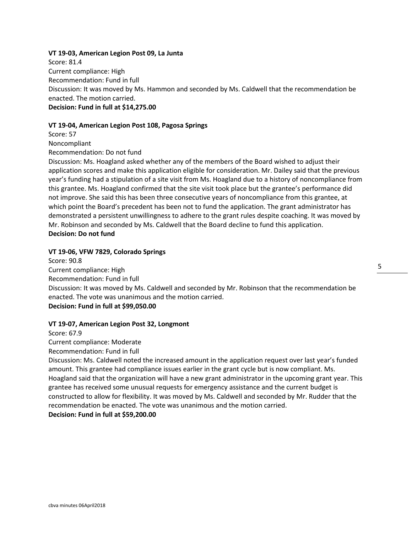#### **VT 19-03, American Legion Post 09, La Junta**

Score: 81.4 Current compliance: High Recommendation: Fund in full Discussion: It was moved by Ms. Hammon and seconded by Ms. Caldwell that the recommendation be enacted. The motion carried. **Decision: Fund in full at \$14,275.00**

#### **VT 19-04, American Legion Post 108, Pagosa Springs**

Score: 57

Noncompliant

Recommendation: Do not fund

Discussion: Ms. Hoagland asked whether any of the members of the Board wished to adjust their application scores and make this application eligible for consideration. Mr. Dailey said that the previous year's funding had a stipulation of a site visit from Ms. Hoagland due to a history of noncompliance from this grantee. Ms. Hoagland confirmed that the site visit took place but the grantee's performance did not improve. She said this has been three consecutive years of noncompliance from this grantee, at which point the Board's precedent has been not to fund the application. The grant administrator has demonstrated a persistent unwillingness to adhere to the grant rules despite coaching. It was moved by Mr. Robinson and seconded by Ms. Caldwell that the Board decline to fund this application. **Decision: Do not fund**

#### **VT 19-06, VFW 7829, Colorado Springs**

Score: 90.8 Current compliance: High Recommendation: Fund in full Discussion: It was moved by Ms. Caldwell and seconded by Mr. Robinson that the recommendation be enacted. The vote was unanimous and the motion carried. **Decision: Fund in full at \$99,050.00**

#### **VT 19-07, American Legion Post 32, Longmont**

Score: 67.9 Current compliance: Moderate Recommendation: Fund in full

Discussion: Ms. Caldwell noted the increased amount in the application request over last year's funded amount. This grantee had compliance issues earlier in the grant cycle but is now compliant. Ms. Hoagland said that the organization will have a new grant administrator in the upcoming grant year. This grantee has received some unusual requests for emergency assistance and the current budget is constructed to allow for flexibility. It was moved by Ms. Caldwell and seconded by Mr. Rudder that the recommendation be enacted. The vote was unanimous and the motion carried.

# **Decision: Fund in full at \$59,200.00**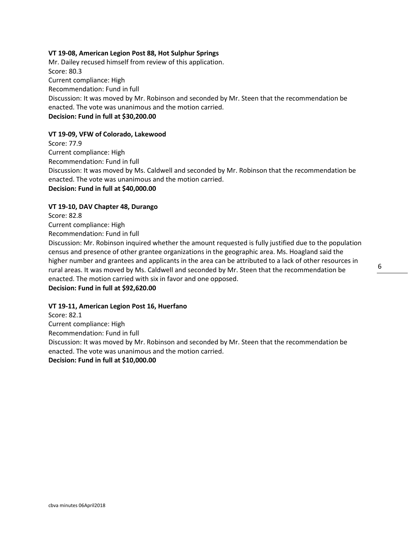#### **VT 19-08, American Legion Post 88, Hot Sulphur Springs**

Mr. Dailey recused himself from review of this application. Score: 80.3 Current compliance: High Recommendation: Fund in full Discussion: It was moved by Mr. Robinson and seconded by Mr. Steen that the recommendation be enacted. The vote was unanimous and the motion carried. **Decision: Fund in full at \$30,200.00**

#### **VT 19-09, VFW of Colorado, Lakewood**

Score: 77.9 Current compliance: High Recommendation: Fund in full Discussion: It was moved by Ms. Caldwell and seconded by Mr. Robinson that the recommendation be enacted. The vote was unanimous and the motion carried. **Decision: Fund in full at \$40,000.00**

#### **VT 19-10, DAV Chapter 48, Durango**

Score: 82.8 Current compliance: High Recommendation: Fund in full Discussion: Mr. Robinson inquired whether the amount requested is fully justified due to the population census and presence of other grantee organizations in the geographic area. Ms. Hoagland said the higher number and grantees and applicants in the area can be attributed to a lack of other resources in rural areas. It was moved by Ms. Caldwell and seconded by Mr. Steen that the recommendation be enacted. The motion carried with six in favor and one opposed. **Decision: Fund in full at \$92,620.00**

#### **VT 19-11, American Legion Post 16, Huerfano**

Score: 82.1 Current compliance: High Recommendation: Fund in full Discussion: It was moved by Mr. Robinson and seconded by Mr. Steen that the recommendation be enacted. The vote was unanimous and the motion carried. **Decision: Fund in full at \$10,000.00**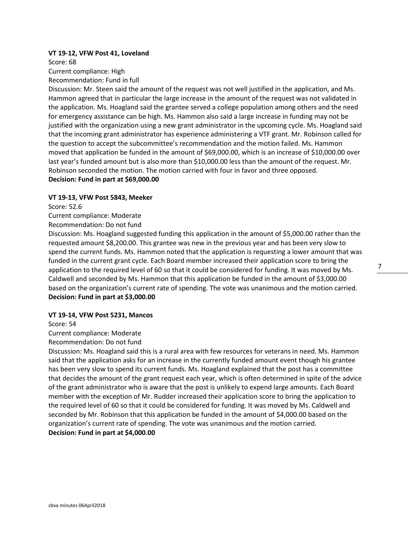#### **VT 19-12, VFW Post 41, Loveland**

Score: 68

Current compliance: High

Recommendation: Fund in full

Discussion: Mr. Steen said the amount of the request was not well justified in the application, and Ms. Hammon agreed that in particular the large increase in the amount of the request was not validated in the application. Ms. Hoagland said the grantee served a college population among others and the need for emergency assistance can be high. Ms. Hammon also said a large increase in funding may not be justified with the organization using a new grant administrator in the upcoming cycle. Ms. Hoagland said that the incoming grant administrator has experience administering a VTF grant. Mr. Robinson called for the question to accept the subcommittee's recommendation and the motion failed. Ms. Hammon moved that application be funded in the amount of \$69,000.00, which is an increase of \$10,000.00 over last year's funded amount but is also more than \$10,000.00 less than the amount of the request. Mr. Robinson seconded the motion. The motion carried with four in favor and three opposed. **Decision: Fund in part at \$69,000.00** 

#### **VT 19-13, VFW Post 5843, Meeker**

Score: 52.6

Current compliance: Moderate

Recommendation: Do not fund

Discussion: Ms. Hoagland suggested funding this application in the amount of \$5,000.00 rather than the requested amount \$8,200.00. This grantee was new in the previous year and has been very slow to spend the current funds. Ms. Hammon noted that the application is requesting a lower amount that was funded in the current grant cycle. Each Board member increased their application score to bring the application to the required level of 60 so that it could be considered for funding. It was moved by Ms. Caldwell and seconded by Ms. Hammon that this application be funded in the amount of \$3,000.00 based on the organization's current rate of spending. The vote was unanimous and the motion carried. **Decision: Fund in part at \$3,000.00**

#### **VT 19-14, VFW Post 5231, Mancos**

Score: 54

Current compliance: Moderate

Recommendation: Do not fund

Discussion: Ms. Hoagland said this is a rural area with few resources for veterans in need. Ms. Hammon said that the application asks for an increase in the currently funded amount event though his grantee has been very slow to spend its current funds. Ms. Hoagland explained that the post has a committee that decides the amount of the grant request each year, which is often determined in spite of the advice of the grant administrator who is aware that the post is unlikely to expend large amounts. Each Board member with the exception of Mr. Rudder increased their application score to bring the application to the required level of 60 so that it could be considered for funding. It was moved by Ms. Caldwell and seconded by Mr. Robinson that this application be funded in the amount of \$4,000.00 based on the organization's current rate of spending. The vote was unanimous and the motion carried. **Decision: Fund in part at \$4,000.00**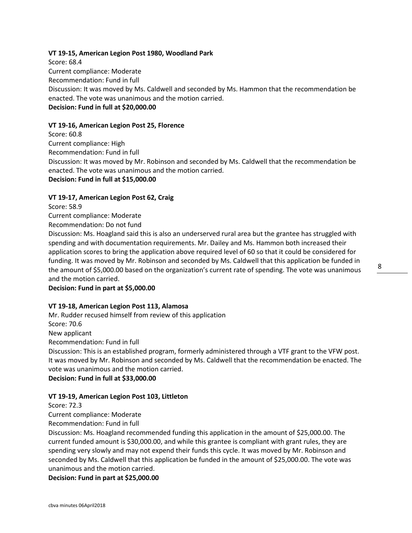# **VT 19-15, American Legion Post 1980, Woodland Park**

Score: 68.4 Current compliance: Moderate Recommendation: Fund in full Discussion: It was moved by Ms. Caldwell and seconded by Ms. Hammon that the recommendation be enacted. The vote was unanimous and the motion carried. **Decision: Fund in full at \$20,000.00**

#### **VT 19-16, American Legion Post 25, Florence**

Score: 60.8 Current compliance: High Recommendation: Fund in full Discussion: It was moved by Mr. Robinson and seconded by Ms. Caldwell that the recommendation be enacted. The vote was unanimous and the motion carried. **Decision: Fund in full at \$15,000.00**

#### **VT 19-17, American Legion Post 62, Craig**

Score: 58.9

Current compliance: Moderate

Recommendation: Do not fund

Discussion: Ms. Hoagland said this is also an underserved rural area but the grantee has struggled with spending and with documentation requirements. Mr. Dailey and Ms. Hammon both increased their application scores to bring the application above required level of 60 so that it could be considered for funding. It was moved by Mr. Robinson and seconded by Ms. Caldwell that this application be funded in the amount of \$5,000.00 based on the organization's current rate of spending. The vote was unanimous and the motion carried.

**Decision: Fund in part at \$5,000.00**

# **VT 19-18, American Legion Post 113, Alamosa**

Mr. Rudder recused himself from review of this application Score: 70.6 New applicant Recommendation: Fund in full Discussion: This is an established program, formerly administered through a VTF grant to the VFW post. It was moved by Mr. Robinson and seconded by Ms. Caldwell that the recommendation be enacted. The vote was unanimous and the motion carried.

**Decision: Fund in full at \$33,000.00**

#### **VT 19-19, American Legion Post 103, Littleton**

Score: 72.3

Current compliance: Moderate

Recommendation: Fund in full

Discussion: Ms. Hoagland recommended funding this application in the amount of \$25,000.00. The current funded amount is \$30,000.00, and while this grantee is compliant with grant rules, they are spending very slowly and may not expend their funds this cycle. It was moved by Mr. Robinson and seconded by Ms. Caldwell that this application be funded in the amount of \$25,000.00. The vote was unanimous and the motion carried.

**Decision: Fund in part at \$25,000.00**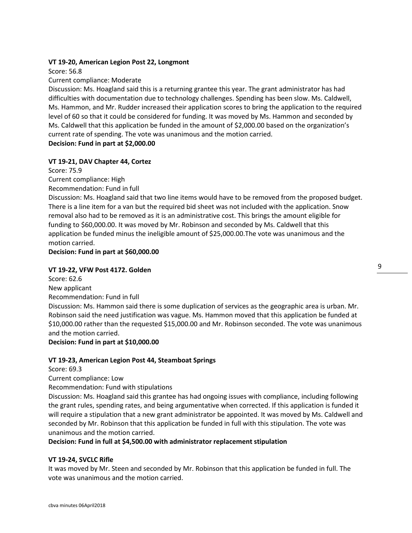### **VT 19-20, American Legion Post 22, Longmont**

Score: 56.8

#### Current compliance: Moderate

Discussion: Ms. Hoagland said this is a returning grantee this year. The grant administrator has had difficulties with documentation due to technology challenges. Spending has been slow. Ms. Caldwell, Ms. Hammon, and Mr. Rudder increased their application scores to bring the application to the required level of 60 so that it could be considered for funding. It was moved by Ms. Hammon and seconded by Ms. Caldwell that this application be funded in the amount of \$2,000.00 based on the organization's current rate of spending. The vote was unanimous and the motion carried. **Decision: Fund in part at \$2,000.00**

**VT 19-21, DAV Chapter 44, Cortez** Score: 75.9 Current compliance: High Recommendation: Fund in full

Discussion: Ms. Hoagland said that two line items would have to be removed from the proposed budget. There is a line item for a van but the required bid sheet was not included with the application. Snow removal also had to be removed as it is an administrative cost. This brings the amount eligible for funding to \$60,000.00. It was moved by Mr. Robinson and seconded by Ms. Caldwell that this application be funded minus the ineligible amount of \$25,000.00.The vote was unanimous and the motion carried.

**Decision: Fund in part at \$60,000.00**

## **VT 19-22, VFW Post 4172. Golden**

Score: 62.6 New applicant Recommendation: Fund in full Discussion: Ms. Hammon said there is some duplication of services as the geographic area is urban. Mr. Robinson said the need justification was vague. Ms. Hammon moved that this application be funded at \$10,000.00 rather than the requested \$15,000.00 and Mr. Robinson seconded. The vote was unanimous and the motion carried.

#### **Decision: Fund in part at \$10,000.00**

#### **VT 19-23, American Legion Post 44, Steamboat Springs**

Score: 69.3

Current compliance: Low

Recommendation: Fund with stipulations

Discussion: Ms. Hoagland said this grantee has had ongoing issues with compliance, including following the grant rules, spending rates, and being argumentative when corrected. If this application is funded it will require a stipulation that a new grant administrator be appointed. It was moved by Ms. Caldwell and seconded by Mr. Robinson that this application be funded in full with this stipulation. The vote was unanimous and the motion carried.

#### **Decision: Fund in full at \$4,500.00 with administrator replacement stipulation**

# **VT 19-24, SVCLC Rifle**

It was moved by Mr. Steen and seconded by Mr. Robinson that this application be funded in full. The vote was unanimous and the motion carried.